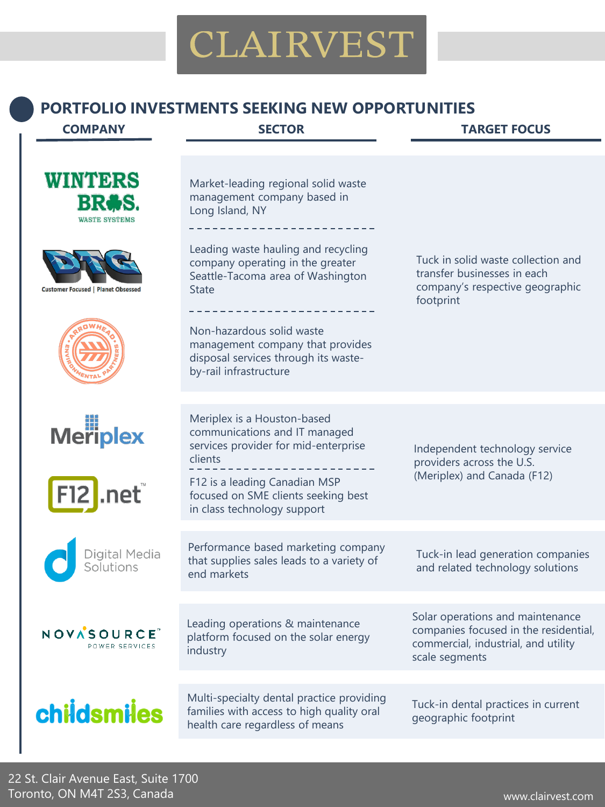#### **PORTFOLIO INVESTMENTS SEEKING NEW OPPORTUNITIES**

#### **COMPANY SECTOR TARGET FOCUS**





**Customer Focused | Planet Obsessed** 









NOVASOURCE POWER SERVICES

# childsmiles

Market-leading regional solid waste management company based in Long Island, NY

Leading waste hauling and recycling company operating in the greater Seattle-Tacoma area of Washington **State** 

Non-hazardous solid waste management company that provides disposal services through its wasteby-rail infrastructure

Tuck in solid waste collection and transfer businesses in each company's respective geographic footprint

Meriplex is a Houston-based communications and IT managed services provider for mid-enterprise clients F12 is a leading Canadian MSP focused on SME clients seeking best

in class technology support

Performance based marketing company that supplies sales leads to a variety of end markets

Leading operations & maintenance platform focused on the solar energy industry

Multi-specialty dental practice providing families with access to high quality oral health care regardless of means

Independent technology service providers across the U.S. (Meriplex) and Canada (F12)

Tuck-in lead generation companies and related technology solutions

Solar operations and maintenance companies focused in the residential, commercial, industrial, and utility scale segments

Tuck-in dental practices in current geographic footprint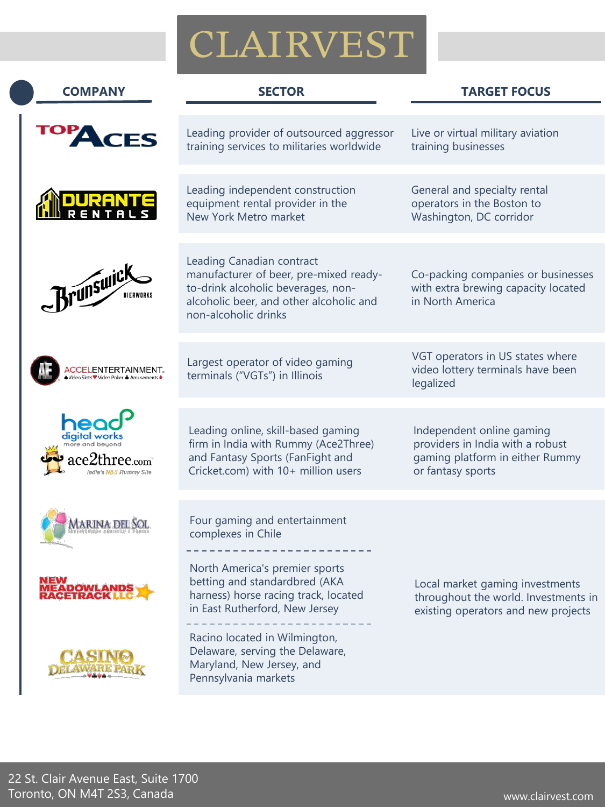| <b>COMPANY</b>                                                | <b>SECTOR</b>                                                                                                                                                                | <b>TARGET FOCUS</b>                                                                                                   |
|---------------------------------------------------------------|------------------------------------------------------------------------------------------------------------------------------------------------------------------------------|-----------------------------------------------------------------------------------------------------------------------|
| TES                                                           | Leading provider of outsourced aggressor<br>training services to militaries worldwide                                                                                        | Live or virtual military aviation<br>training businesses                                                              |
|                                                               | Leading independent construction<br>equipment rental provider in the<br>New York Metro market                                                                                | General and specialty rental<br>operators in the Boston to<br>Washington, DC corridor                                 |
| <b>Brunswick</b><br>BIERWORKS                                 | Leading Canadian contract<br>manufacturer of beer, pre-mixed ready-<br>to-drink alcoholic beverages, non-<br>alcoholic beer, and other alcoholic and<br>non-alcoholic drinks | Co-packing companies or businesses<br>with extra brewing capacity located<br>in North America                         |
| CCELENTERTAINMENT,<br>/ideo Slots♥ Video Poker ♣ Amusements ♦ | Largest operator of video gaming<br>terminals ("VGTs") in Illinois                                                                                                           | VGT operators in US states where<br>video lottery terminals have been<br>legalized                                    |
| digital worl<br>$\operatorname{tree}$ .com $^\circ$           | Leading online, skill-based gaming<br>firm in India with Rummy (Ace2Three)<br>and Fantasy Sports (FanFight and<br>Cricket.com) with 10+ million users                        | Independent online gaming<br>providers in India with a robust<br>gaming platform in either Rummy<br>or fantasy sports |
| arina del S                                                   | Four gaming and entertainment<br>complexes in Chile                                                                                                                          |                                                                                                                       |
| MEADOWLANDS<br>RACETRACK LLC                                  | North America's premier sports<br>betting and standardbred (AKA<br>harness) horse racing track, located<br>in East Rutherford, New Jersey                                    | Local market gaming investments<br>throughout the world. Investments in<br>existing operators and new projects        |
|                                                               | Racino located in Wilmington,<br>Delaware, serving the Delaware,<br>Maryland, New Jersey, and<br>Pennsylvania markets                                                        |                                                                                                                       |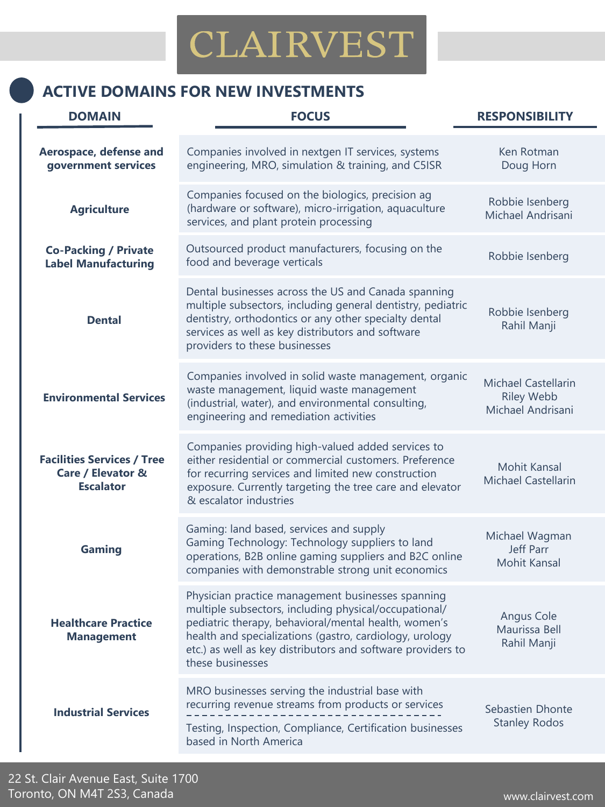### **ACTIVE DOMAINS FOR NEW INVESTMENTS**

| <b>DOMAIN</b>                                                              | <b>FOCUS</b>                                                                                                                                                                                                                                                                                                     | <b>RESPONSIBILITY</b>                                  |
|----------------------------------------------------------------------------|------------------------------------------------------------------------------------------------------------------------------------------------------------------------------------------------------------------------------------------------------------------------------------------------------------------|--------------------------------------------------------|
| Aerospace, defense and<br>government services                              | Companies involved in nextgen IT services, systems<br>engineering, MRO, simulation & training, and C5ISR                                                                                                                                                                                                         | Ken Rotman<br>Doug Horn                                |
| <b>Agriculture</b>                                                         | Companies focused on the biologics, precision ag<br>(hardware or software), micro-irrigation, aquaculture<br>services, and plant protein processing                                                                                                                                                              | Robbie Isenberg<br>Michael Andrisani                   |
| <b>Co-Packing / Private</b><br><b>Label Manufacturing</b>                  | Outsourced product manufacturers, focusing on the<br>food and beverage verticals                                                                                                                                                                                                                                 | Robbie Isenberg                                        |
| <b>Dental</b>                                                              | Dental businesses across the US and Canada spanning<br>multiple subsectors, including general dentistry, pediatric<br>dentistry, orthodontics or any other specialty dental<br>services as well as key distributors and software<br>providers to these businesses                                                | Robbie Isenberg<br>Rahil Manji                         |
| <b>Environmental Services</b>                                              | Companies involved in solid waste management, organic<br>waste management, liquid waste management<br>(industrial, water), and environmental consulting,<br>engineering and remediation activities                                                                                                               | Michael Castellarin<br>Riley Webb<br>Michael Andrisani |
| <b>Facilities Services / Tree</b><br>Care / Elevator &<br><b>Escalator</b> | Companies providing high-valued added services to<br>either residential or commercial customers. Preference<br>for recurring services and limited new construction<br>exposure. Currently targeting the tree care and elevator<br>& escalator industries                                                         | Mohit Kansal<br>Michael Castellarin                    |
| Gaming                                                                     | Gaming: land based, services and supply<br>Gaming Technology: Technology suppliers to land<br>operations, B2B online gaming suppliers and B2C online<br>companies with demonstrable strong unit economics                                                                                                        | Michael Wagman<br>Jeff Parr<br>Mohit Kansal            |
| <b>Healthcare Practice</b><br><b>Management</b>                            | Physician practice management businesses spanning<br>multiple subsectors, including physical/occupational/<br>pediatric therapy, behavioral/mental health, women's<br>health and specializations (gastro, cardiology, urology<br>etc.) as well as key distributors and software providers to<br>these businesses | Angus Cole<br>Maurissa Bell<br>Rahil Manji             |
| <b>Industrial Services</b>                                                 | MRO businesses serving the industrial base with<br>recurring revenue streams from products or services<br>Testing, Inspection, Compliance, Certification businesses<br>based in North America                                                                                                                    | Sebastien Dhonte<br><b>Stanley Rodos</b>               |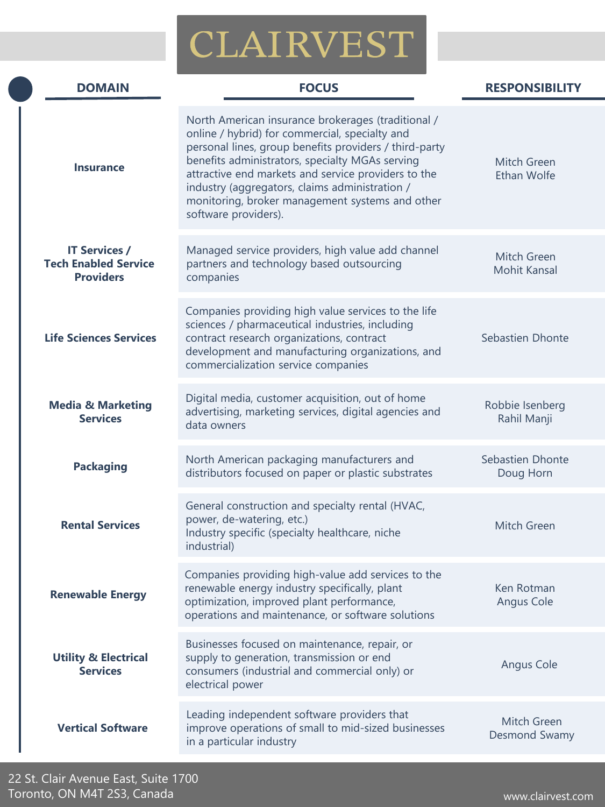| <b>DOMAIN</b>                                                           | <b>FOCUS</b>                                                                                                                                                                                                                                                                                                                                                                                          | <b>RESPONSIBILITY</b>              |
|-------------------------------------------------------------------------|-------------------------------------------------------------------------------------------------------------------------------------------------------------------------------------------------------------------------------------------------------------------------------------------------------------------------------------------------------------------------------------------------------|------------------------------------|
| <b>Insurance</b>                                                        | North American insurance brokerages (traditional /<br>online / hybrid) for commercial, specialty and<br>personal lines, group benefits providers / third-party<br>benefits administrators, specialty MGAs serving<br>attractive end markets and service providers to the<br>industry (aggregators, claims administration /<br>monitoring, broker management systems and other<br>software providers). | Mitch Green<br>Ethan Wolfe         |
| <b>IT Services /</b><br><b>Tech Enabled Service</b><br><b>Providers</b> | Managed service providers, high value add channel<br>partners and technology based outsourcing<br>companies                                                                                                                                                                                                                                                                                           | Mitch Green<br><b>Mohit Kansal</b> |
| <b>Life Sciences Services</b>                                           | Companies providing high value services to the life<br>sciences / pharmaceutical industries, including<br>contract research organizations, contract<br>development and manufacturing organizations, and<br>commercialization service companies                                                                                                                                                        | Sebastien Dhonte                   |
| <b>Media &amp; Marketing</b><br><b>Services</b>                         | Digital media, customer acquisition, out of home<br>advertising, marketing services, digital agencies and<br>data owners                                                                                                                                                                                                                                                                              | Robbie Isenberg<br>Rahil Manji     |
| <b>Packaging</b>                                                        | North American packaging manufacturers and<br>distributors focused on paper or plastic substrates                                                                                                                                                                                                                                                                                                     | Sebastien Dhonte<br>Doug Horn      |
| <b>Rental Services</b>                                                  | General construction and specialty rental (HVAC,<br>power, de-watering, etc.)<br>Industry specific (specialty healthcare, niche<br>industrial)                                                                                                                                                                                                                                                        | Mitch Green                        |
| <b>Renewable Energy</b>                                                 | Companies providing high-value add services to the<br>renewable energy industry specifically, plant<br>optimization, improved plant performance,<br>operations and maintenance, or software solutions                                                                                                                                                                                                 | Ken Rotman<br>Angus Cole           |
| <b>Utility &amp; Electrical</b><br><b>Services</b>                      | Businesses focused on maintenance, repair, or<br>supply to generation, transmission or end<br>consumers (industrial and commercial only) or<br>electrical power                                                                                                                                                                                                                                       | Angus Cole                         |
| <b>Vertical Software</b>                                                | Leading independent software providers that<br>improve operations of small to mid-sized businesses<br>in a particular industry                                                                                                                                                                                                                                                                        | Mitch Green<br>Desmond Swamy       |